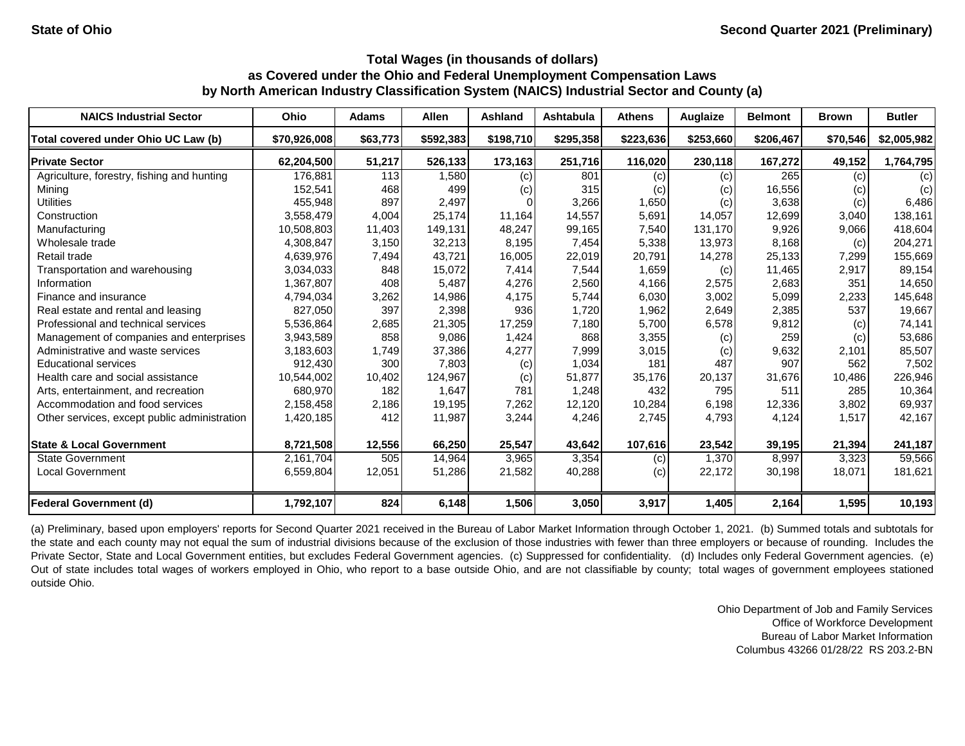| <b>NAICS Industrial Sector</b>               | Ohio         | <b>Adams</b> | <b>Allen</b> | Ashland   | <b>Ashtabula</b> | <b>Athens</b> | <b>Auglaize</b> | <b>Belmont</b> | <b>Brown</b> | <b>Butler</b> |
|----------------------------------------------|--------------|--------------|--------------|-----------|------------------|---------------|-----------------|----------------|--------------|---------------|
| Total covered under Ohio UC Law (b)          | \$70,926,008 | \$63,773     | \$592,383    | \$198,710 | \$295,358        | \$223,636     | \$253,660       | \$206,467      | \$70,546     | \$2,005,982   |
| <b>Private Sector</b>                        | 62,204,500   | 51,217       | 526,133      | 173,163   | 251,716          | 116,020       | 230,118         | 167,272        | 49,152       | 1,764,795     |
| Agriculture, forestry, fishing and hunting   | 176,881      | 113          | 1,580        | (c)       | 801              | (c)           | (c)             | 265            | (c)          | (c)           |
| Mining                                       | 152,541      | 468          | 499          | (c)       | 315              | (c)           | (c)             | 16,556         | (c)          | (c)           |
| <b>Utilities</b>                             | 455,948      | 897          | 2,497        |           | 3,266            | 1,650         | (c)             | 3,638          | (c)          | 6,486         |
| Construction                                 | 3,558,479    | 4,004        | 25,174       | 11,164    | 14,557           | 5,691         | 14,057          | 12,699         | 3,040        | 138,161       |
| Manufacturing                                | 10,508,803   | 11,403       | 149,131      | 48,247    | 99,165           | 7,540         | 131,170         | 9,926          | 9,066        | 418,604       |
| Wholesale trade                              | 4,308,847    | 3,150        | 32,213       | 8,195     | 7,454            | 5,338         | 13,973          | 8,168          | (c)          | 204,271       |
| Retail trade                                 | 4,639,976    | 7,494        | 43,721       | 16,005    | 22,019           | 20,791        | 14,278          | 25,133         | 7,299        | 155,669       |
| Transportation and warehousing               | 3,034,033    | 848          | 15,072       | 7,414     | 7,544            | 1,659         | (c)             | 11,465         | 2,917        | 89,154        |
| Information                                  | 1,367,807    | 408          | 5,487        | 4,276     | 2,560            | 4,166         | 2,575           | 2,683          | 351          | 14,650        |
| Finance and insurance                        | 4,794,034    | 3,262        | 14,986       | 4,175     | 5,744            | 6,030         | 3,002           | 5,099          | 2,233        | 145,648       |
| Real estate and rental and leasing           | 827,050      | 397          | 2,398        | 936       | 1,720            | 1,962         | 2,649           | 2,385          | 537          | 19,667        |
| Professional and technical services          | 5,536,864    | 2,685        | 21,305       | 17,259    | 7,180            | 5.700         | 6,578           | 9,812          | (c)          | 74,141        |
| Management of companies and enterprises      | 3,943,589    | 858          | 9,086        | 1,424     | 868              | 3,355         | (c)             | 259            | (c)          | 53,686        |
| Administrative and waste services            | 3,183,603    | 1,749        | 37,386       | 4,277     | 7,999            | 3,015         | (c)             | 9,632          | 2.101        | 85,507        |
| <b>Educational services</b>                  | 912,430      | 300          | 7,803        | (c)       | 1,034            | 181           | 487             | 907            | 562          | 7,502         |
| Health care and social assistance            | 10,544,002   | 10,402       | 124,967      | (c)       | 51,877           | 35,176        | 20,137          | 31,676         | 10,486       | 226,946       |
| Arts, entertainment, and recreation          | 680,970      | 182          | 1,647        | 781       | 1,248            | 432           | 795             | 511            | 285          | 10,364        |
| Accommodation and food services              | 2,158,458    | 2,186        | 19,195       | 7,262     | 12,120           | 10,284        | 6,198           | 12,336         | 3,802        | 69,937        |
| Other services, except public administration | 1,420,185    | 412          | 11,987       | 3,244     | 4,246            | 2,745         | 4,793           | 4,124          | 1,517        | 42,167        |
| <b>State &amp; Local Government</b>          | 8,721,508    | 12,556       | 66,250       | 25,547    | 43,642           | 107,616       | 23,542          | 39,195         | 21,394       | 241,187       |
| <b>State Government</b>                      | 2,161,704    | 505          | 14,964       | 3,965     | 3,354            | (c)           | 1,370           | 8,997          | 3,323        | 59,566        |
| <b>Local Government</b>                      | 6,559,804    | 12,051       | 51,286       | 21,582    | 40,288           | (c)           | 22,172          | 30,198         | 18,071       | 181,621       |
| <b>Federal Government (d)</b>                | 1,792,107    | 824          | 6,148        | 1,506     | 3,050            | 3,917         | 1,405           | 2,164          | 1,595        | 10,193        |

(a) Preliminary, based upon employers' reports for Second Quarter 2021 received in the Bureau of Labor Market Information through October 1, 2021. (b) Summed totals and subtotals for the state and each county may not equal the sum of industrial divisions because of the exclusion of those industries with fewer than three employers or because of rounding. Includes the Private Sector, State and Local Government entities, but excludes Federal Government agencies. (c) Suppressed for confidentiality. (d) Includes only Federal Government agencies. (e) Out of state includes total wages of workers employed in Ohio, who report to a base outside Ohio, and are not classifiable by county; total wages of government employees stationed outside Ohio.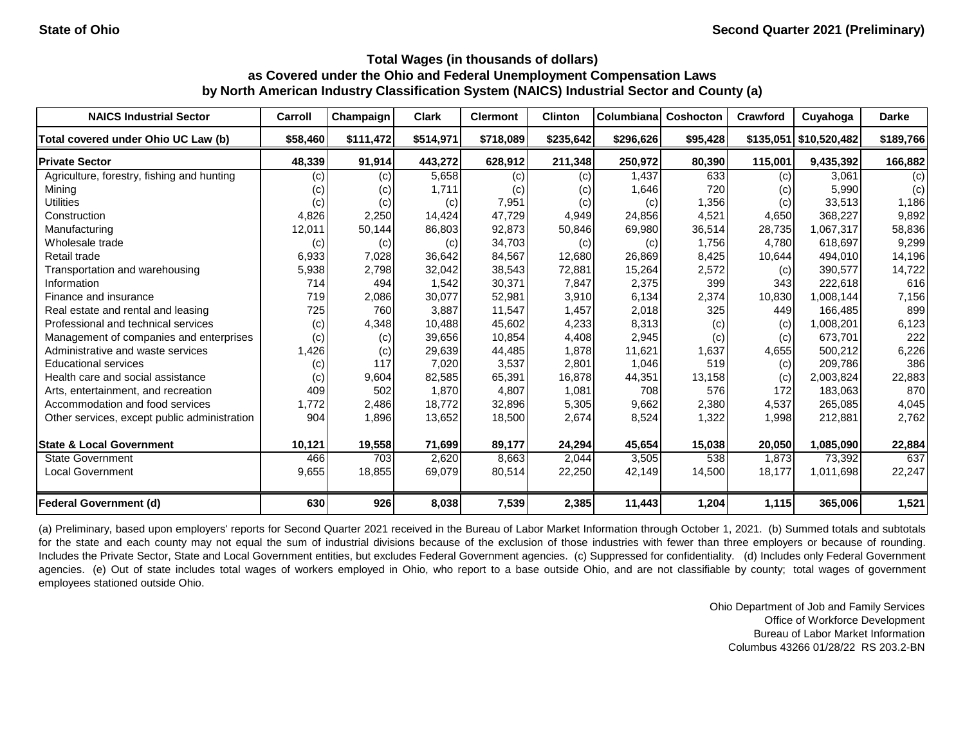| <b>NAICS Industrial Sector</b>               | Carroll  | Champaign | <b>Clark</b> | <b>Clermont</b> | <b>Clinton</b> | Columbiana | Coshocton | Crawford | Cuyahoga               | <b>Darke</b> |
|----------------------------------------------|----------|-----------|--------------|-----------------|----------------|------------|-----------|----------|------------------------|--------------|
| Total covered under Ohio UC Law (b)          | \$58,460 | \$111,472 | \$514,971    | \$718,089       | \$235,642      | \$296,626  | \$95,428  |          | \$135,051 \$10,520,482 | \$189,766    |
| <b>Private Sector</b>                        | 48,339   | 91,914    | 443,272      | 628,912         | 211,348        | 250,972    | 80,390    | 115,001  | 9,435,392              | 166,882      |
| Agriculture, forestry, fishing and hunting   | (c)      | (c)       | 5,658        | (c)             | (c)            | 1,437      | 633       | (c)      | 3.061                  | (c)          |
| Mining                                       | (c)      | (c)       | 1,711        | (c)             | (c)            | 1,646      | 720       | (c)      | 5,990                  | (c)          |
| <b>Utilities</b>                             | (c)      | (c)       | (c)          | 7,951           | (c)            | (c)        | 1,356     | (c)      | 33,513                 | 1,186        |
| Construction                                 | 4,826    | 2,250     | 14,424       | 47,729          | 4,949          | 24,856     | 4,521     | 4,650    | 368,227                | 9,892        |
| Manufacturing                                | 12,011   | 50,144    | 86,803       | 92,873          | 50,846         | 69,980     | 36,514    | 28,735   | 1,067,317              | 58,836       |
| Wholesale trade                              | (c)      | (c)       | (c)          | 34,703          | (c)            | (c)        | 1,756     | 4,780    | 618,697                | 9,299        |
| Retail trade                                 | 6,933    | 7,028     | 36,642       | 84,567          | 12,680         | 26,869     | 8,425     | 10,644   | 494,010                | 14,196       |
| Transportation and warehousing               | 5,938    | 2,798     | 32,042       | 38,543          | 72,881         | 15,264     | 2,572     | (c)      | 390,577                | 14,722       |
| Information                                  | 714      | 494       | 1,542        | 30,371          | 7,847          | 2,375      | 399       | 343      | 222,618                | 616          |
| Finance and insurance                        | 719      | 2,086     | 30,077       | 52,981          | 3,910          | 6,134      | 2,374     | 10,830   | 1,008,144              | 7,156        |
| Real estate and rental and leasing           | 725      | 760       | 3,887        | 11,547          | 1,457          | 2,018      | 325       | 449      | 166,485                | 899          |
| Professional and technical services          | (c)      | 4,348     | 10,488       | 45,602          | 4,233          | 8,313      | (c)       | (c)      | 1,008,201              | 6,123        |
| Management of companies and enterprises      | (c)      | (c)       | 39,656       | 10,854          | 4,408          | 2,945      | (c)       | (c)      | 673,701                | 222          |
| Administrative and waste services            | 1,426    | (c)       | 29,639       | 44,485          | 1,878          | 11,621     | 1,637     | 4,655    | 500,212                | 6,226        |
| <b>Educational services</b>                  | (c)      | 117       | 7,020        | 3,537           | 2,801          | 1,046      | 519       | (c)      | 209,786                | 386          |
| Health care and social assistance            | (c)      | 9,604     | 82,585       | 65,391          | 16,878         | 44,351     | 13,158    | (c)      | 2,003,824              | 22,883       |
| Arts, entertainment, and recreation          | 409      | 502       | 1,870        | 4,807           | 1,081          | 708        | 576       | 172      | 183,063                | 870          |
| Accommodation and food services              | 1,772    | 2,486     | 18,772       | 32,896          | 5,305          | 9,662      | 2,380     | 4,537    | 265,085                | 4,045        |
| Other services, except public administration | 904      | 1,896     | 13,652       | 18,500          | 2,674          | 8,524      | 1,322     | 1,998    | 212,881                | 2,762        |
| <b>State &amp; Local Government</b>          | 10,121   | 19,558    | 71,699       | 89,177          | 24,294         | 45,654     | 15,038    | 20,050   | 1,085,090              | 22,884       |
| <b>State Government</b>                      | 466      | 703       | 2,620        | 8.663           | 2,044          | 3,505      | 538       | 1.873    | 73,392                 | 637          |
| <b>Local Government</b>                      | 9,655    | 18,855    | 69,079       | 80,514          | 22,250         | 42,149     | 14,500    | 18,177   | 1,011,698              | 22,247       |
| <b>Federal Government (d)</b>                | 630      | 926       | 8,038        | 7,539           | 2,385          | 11,443     | 1,204     | 1,115    | 365,006                | 1,521        |

(a) Preliminary, based upon employers' reports for Second Quarter 2021 received in the Bureau of Labor Market Information through October 1, 2021. (b) Summed totals and subtotals for the state and each county may not equal the sum of industrial divisions because of the exclusion of those industries with fewer than three employers or because of rounding. Includes the Private Sector, State and Local Government entities, but excludes Federal Government agencies. (c) Suppressed for confidentiality. (d) Includes only Federal Government agencies. (e) Out of state includes total wages of workers employed in Ohio, who report to a base outside Ohio, and are not classifiable by county; total wages of government employees stationed outside Ohio.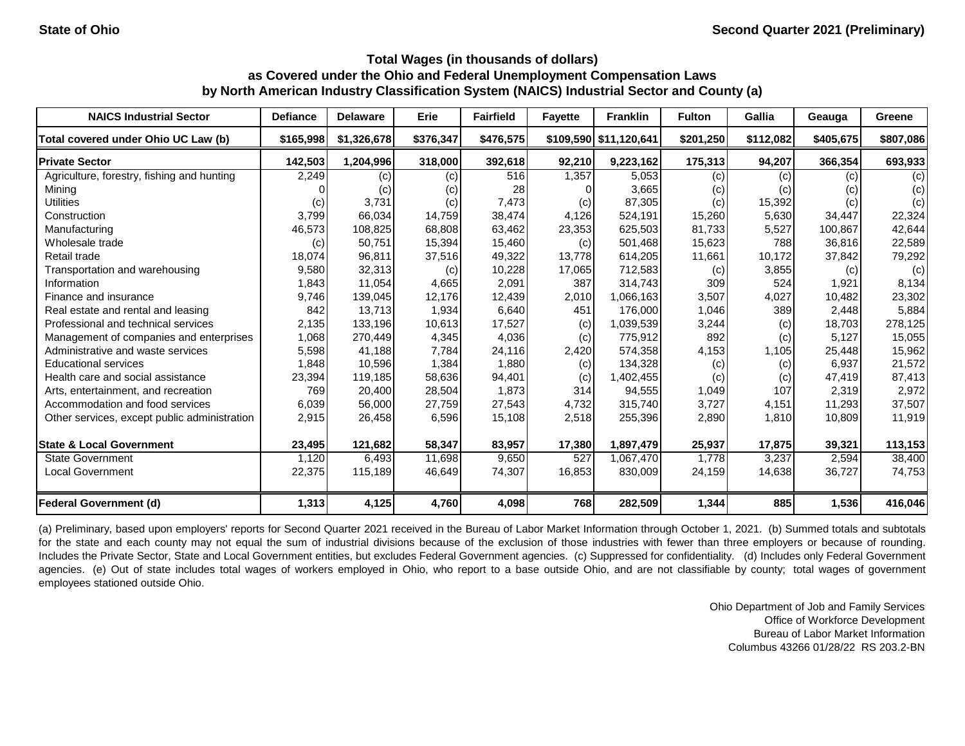| <b>NAICS Industrial Sector</b>               | <b>Defiance</b> | <b>Delaware</b> | Erie      | <b>Fairfield</b> | <b>Fayette</b> | <b>Franklin</b>        | <b>Fulton</b> | Gallia    | Geauga    | Greene    |
|----------------------------------------------|-----------------|-----------------|-----------|------------------|----------------|------------------------|---------------|-----------|-----------|-----------|
| Total covered under Ohio UC Law (b)          | \$165,998       | \$1,326,678     | \$376,347 | \$476,575        |                | \$109,590 \$11,120,641 | \$201,250     | \$112,082 | \$405.675 | \$807,086 |
| <b>Private Sector</b>                        | 142,503         | 1,204,996       | 318,000   | 392,618          | 92,210         | 9,223,162              | 175,313       | 94,207    | 366,354   | 693,933   |
| Agriculture, forestry, fishing and hunting   | 2,249           | (c)             | (c)       | 516              | 1,357          | 5,053                  | (c)           | (c)       | (c)       | (c)       |
| Mining                                       |                 | (c)             | (c)       | 28               |                | 3,665                  | (c)           | (c)       | (c)       | (c)       |
| <b>Utilities</b>                             | (c)             | 3,731           | (c)       | 7,473            | (c)            | 87,305                 | (c)           | 15,392    | (c)       | (c)       |
| Construction                                 | 3,799           | 66,034          | 14,759    | 38,474           | 4,126          | 524,191                | 15,260        | 5,630     | 34,447    | 22,324    |
| Manufacturing                                | 46,573          | 108,825         | 68,808    | 63,462           | 23,353         | 625,503                | 81,733        | 5,527     | 100,867   | 42,644    |
| Wholesale trade                              | (c)             | 50,751          | 15,394    | 15,460           | (c)            | 501,468                | 15,623        | 788       | 36,816    | 22,589    |
| Retail trade                                 | 18,074          | 96,811          | 37,516    | 49,322           | 13,778         | 614,205                | 11,661        | 10,172    | 37,842    | 79,292    |
| Transportation and warehousing               | 9,580           | 32,313          | (c)       | 10,228           | 17,065         | 712,583                | (c)           | 3,855     | (c)       | (c)       |
| Information                                  | 1,843           | 11,054          | 4,665     | 2,091            | 387            | 314,743                | 309           | 524       | 1,921     | 8,134     |
| Finance and insurance                        | 9,746           | 139,045         | 12,176    | 12,439           | 2,010          | 1,066,163              | 3,507         | 4,027     | 10,482    | 23,302    |
| Real estate and rental and leasing           | 842             | 13,713          | 1,934     | 6,640            | 451            | 176,000                | 1,046         | 389       | 2,448     | 5,884     |
| Professional and technical services          | 2,135           | 133,196         | 10,613    | 17,527           | (c)            | 1,039,539              | 3,244         | (c)       | 18,703    | 278,125   |
| Management of companies and enterprises      | 1,068           | 270,449         | 4,345     | 4,036            | (c)            | 775,912                | 892           | (c)       | 5,127     | 15,055    |
| Administrative and waste services            | 5,598           | 41,188          | 7,784     | 24,116           | 2,420          | 574,358                | 4,153         | 1,105     | 25,448    | 15,962    |
| <b>Educational services</b>                  | 1,848           | 10,596          | 1,384     | 1,880            | (c)            | 134,328                | (c)           | (c)       | 6,937     | 21,572    |
| Health care and social assistance            | 23,394          | 119,185         | 58,636    | 94,401           | (c)            | 1,402,455              | (c)           | (c)       | 47,419    | 87,413    |
| Arts, entertainment, and recreation          | 769             | 20,400          | 28,504    | 1,873            | 314            | 94,555                 | 1,049         | 107       | 2,319     | 2,972     |
| Accommodation and food services              | 6,039           | 56,000          | 27,759    | 27,543           | 4,732          | 315,740                | 3,727         | 4,151     | 11,293    | 37,507    |
| Other services, except public administration | 2,915           | 26,458          | 6,596     | 15,108           | 2,518          | 255,396                | 2,890         | 1,810     | 10,809    | 11,919    |
| <b>State &amp; Local Government</b>          | 23,495          | 121,682         | 58,347    | 83,957           | 17,380         | 1,897,479              | 25,937        | 17,875    | 39,321    | 113,153   |
| <b>State Government</b>                      | 1,120           | 6,493           | 11,698    | 9,650            | 527            | 1,067,470              | 1,778         | 3,237     | 2,594     | 38,400    |
| <b>Local Government</b>                      | 22,375          | 115,189         | 46,649    | 74,307           | 16,853         | 830,009                | 24,159        | 14,638    | 36,727    | 74,753    |
| <b>Federal Government (d)</b>                | 1,313           | 4,125           | 4,760     | 4,098            | 768            | 282,509                | 1,344         | 885       | 1,536     | 416,046   |

(a) Preliminary, based upon employers' reports for Second Quarter 2021 received in the Bureau of Labor Market Information through October 1, 2021. (b) Summed totals and subtotals for the state and each county may not equal the sum of industrial divisions because of the exclusion of those industries with fewer than three employers or because of rounding. Includes the Private Sector, State and Local Government entities, but excludes Federal Government agencies. (c) Suppressed for confidentiality. (d) Includes only Federal Government agencies. (e) Out of state includes total wages of workers employed in Ohio, who report to a base outside Ohio, and are not classifiable by county; total wages of government employees stationed outside Ohio.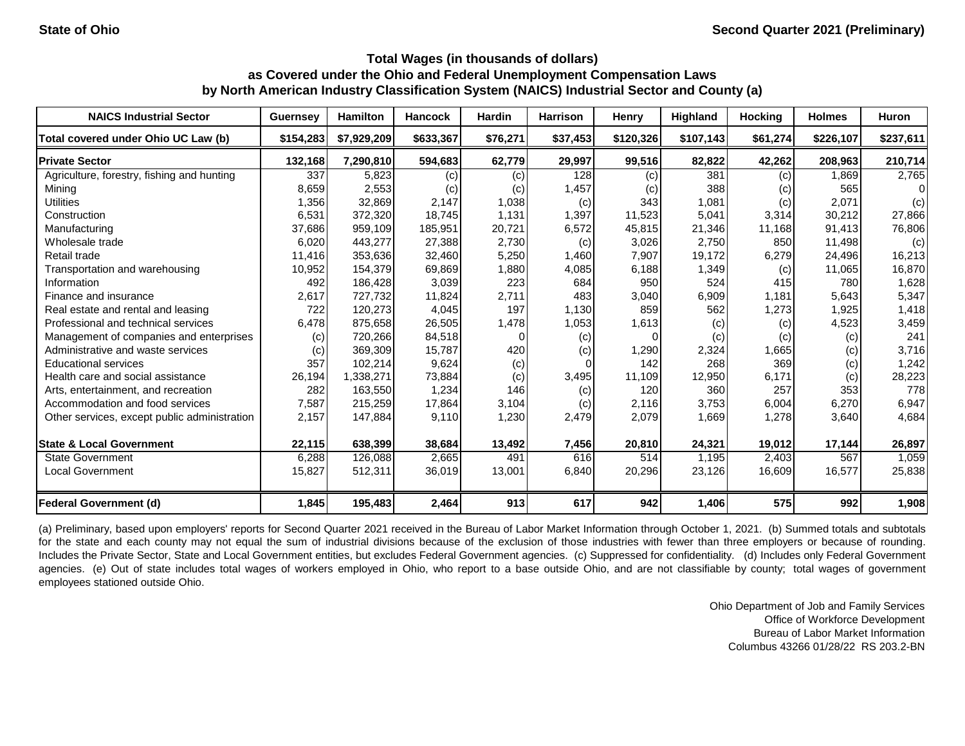| <b>NAICS Industrial Sector</b>               | <b>Guernsey</b> | <b>Hamilton</b> | <b>Hancock</b> | <b>Hardin</b> | Harrison | Henry     | <b>Highland</b> | <b>Hocking</b> | <b>Holmes</b> | <b>Huron</b> |
|----------------------------------------------|-----------------|-----------------|----------------|---------------|----------|-----------|-----------------|----------------|---------------|--------------|
| Total covered under Ohio UC Law (b)          | \$154,283       | \$7,929,209     | \$633,367      | \$76,271      | \$37,453 | \$120,326 | \$107,143       | \$61,274       | \$226,107     | \$237,611    |
| <b>Private Sector</b>                        | 132,168         | 7,290,810       | 594,683        | 62,779        | 29,997   | 99,516    | 82,822          | 42,262         | 208,963       | 210,714      |
| Agriculture, forestry, fishing and hunting   | 337             | 5,823           | (c)            | (c)           | 128      | (c)       | 381             | (c)            | 1,869         | 2,765        |
| Mining                                       | 8,659           | 2,553           | (c)            | (c)           | 1,457    | (c)       | 388             | (c)            | 565           | ΩI           |
| <b>Utilities</b>                             | 1,356           | 32,869          | 2,147          | 1,038         | (c)      | 343       | 1,081           | (c)            | 2,071         | (c)          |
| Construction                                 | 6,531           | 372,320         | 18,745         | 1,131         | 1,397    | 11,523    | 5,041           | 3,314          | 30,212        | 27,866       |
| Manufacturing                                | 37,686          | 959,109         | 185,951        | 20,721        | 6,572    | 45,815    | 21,346          | 11,168         | 91,413        | 76,806       |
| Wholesale trade                              | 6,020           | 443,277         | 27,388         | 2,730         | (c)      | 3,026     | 2,750           | 850            | 11,498        | (c)          |
| Retail trade                                 | 11,416          | 353,636         | 32,460         | 5,250         | 1,460    | 7,907     | 19,172          | 6,279          | 24,496        | 16,213       |
| Transportation and warehousing               | 10,952          | 154,379         | 69,869         | 1,880         | 4,085    | 6,188     | 1,349           | (c)            | 11,065        | 16,870       |
| Information                                  | 492             | 186,428         | 3,039          | 223           | 684      | 950       | 524             | 415            | 780           | 1,628        |
| Finance and insurance                        | 2,617           | 727,732         | 11,824         | 2,711         | 483      | 3,040     | 6,909           | 1,181          | 5,643         | 5,347        |
| Real estate and rental and leasing           | 722             | 120,273         | 4,045          | 197           | 1,130    | 859       | 562             | 1,273          | 1,925         | 1,418        |
| Professional and technical services          | 6,478           | 875,658         | 26,505         | 1,478         | 1,053    | 1,613     | (c)             | (c)            | 4,523         | 3,459        |
| Management of companies and enterprises      | (c)             | 720,266         | 84,518         |               | (c)      |           | (c)             | (c)            | (c)           | 241          |
| Administrative and waste services            | (c)             | 369,309         | 15,787         | 420           | (c)      | 1,290     | 2,324           | 1,665          | (c)           | 3,716        |
| <b>Educational services</b>                  | 357             | 102,214         | 9,624          | (c)           |          | 142       | 268             | 369            | (c)           | 1,242        |
| Health care and social assistance            | 26,194          | 1,338,271       | 73,884         | (c)           | 3,495    | 11,109    | 12,950          | 6,171          | (c)           | 28,223       |
| Arts, entertainment, and recreation          | 282             | 163,550         | 1,234          | 146           | (c)      | 120       | 360             | 257            | 353           | 778          |
| Accommodation and food services              | 7,587           | 215,259         | 17,864         | 3,104         | (c)      | 2,116     | 3,753           | 6,004          | 6,270         | 6,947        |
| Other services, except public administration | 2,157           | 147,884         | 9,110          | 1,230         | 2,479    | 2,079     | 1,669           | 1,278          | 3,640         | 4,684        |
| <b>State &amp; Local Government</b>          | 22,115          | 638,399         | 38,684         | 13,492        | 7,456    | 20,810    | 24,321          | 19,012         | 17,144        | 26,897       |
| State Government                             | 6,288           | 126,088         | 2,665          | 491           | 616      | 514       | 1,195           | 2,403          | 567           | 1,059        |
| <b>Local Government</b>                      | 15,827          | 512,311         | 36,019         | 13,001        | 6,840    | 20,296    | 23,126          | 16,609         | 16,577        | 25,838       |
| <b>Federal Government (d)</b>                | 1,845           | 195,483         | 2,464          | 913           | 617      | 942       | 1,406           | 575            | 992           | 1,908        |

(a) Preliminary, based upon employers' reports for Second Quarter 2021 received in the Bureau of Labor Market Information through October 1, 2021. (b) Summed totals and subtotals for the state and each county may not equal the sum of industrial divisions because of the exclusion of those industries with fewer than three employers or because of rounding. Includes the Private Sector, State and Local Government entities, but excludes Federal Government agencies. (c) Suppressed for confidentiality. (d) Includes only Federal Government agencies. (e) Out of state includes total wages of workers employed in Ohio, who report to a base outside Ohio, and are not classifiable by county; total wages of government employees stationed outside Ohio.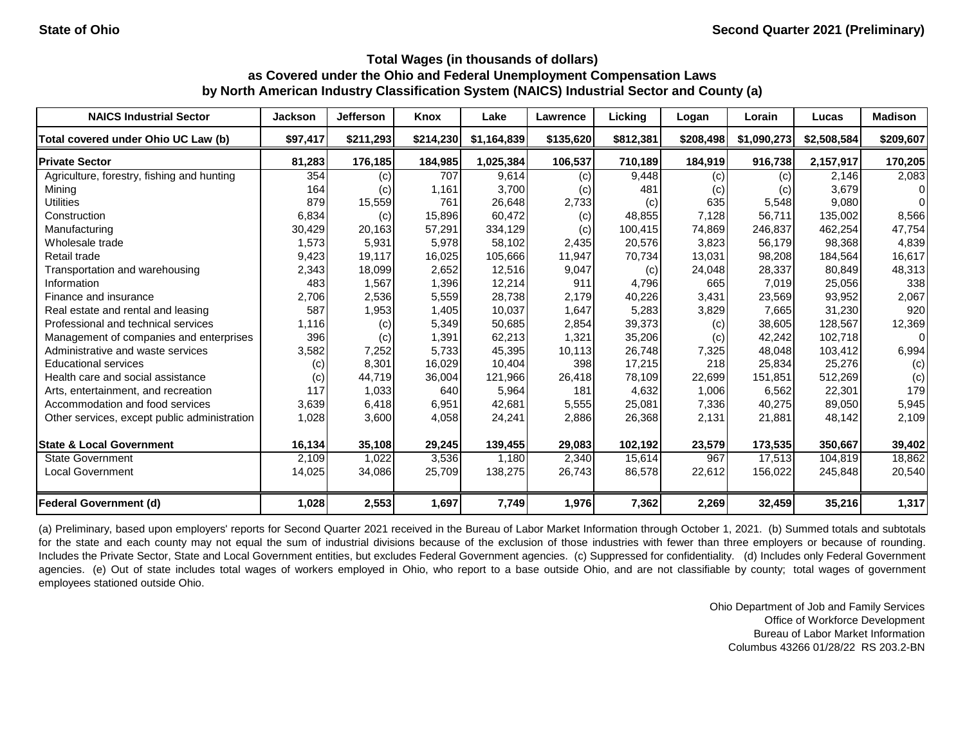| <b>NAICS Industrial Sector</b>               | <b>Jackson</b> | <b>Jefferson</b> | Knox      | Lake        | <b>Lawrence</b> | Licking   | Logan     | Lorain      | Lucas       | <b>Madison</b> |
|----------------------------------------------|----------------|------------------|-----------|-------------|-----------------|-----------|-----------|-------------|-------------|----------------|
| Total covered under Ohio UC Law (b)          | \$97,417       | \$211,293        | \$214,230 | \$1,164,839 | \$135,620       | \$812,381 | \$208,498 | \$1,090,273 | \$2,508,584 | \$209,607      |
| <b>Private Sector</b>                        | 81,283         | 176,185          | 184,985   | 1,025,384   | 106,537         | 710,189   | 184,919   | 916,738     | 2,157,917   | 170,205        |
| Agriculture, forestry, fishing and hunting   | 354            | (c)              | 707       | 9,614       | (c)             | 9,448     | (c)       | (c)         | 2,146       | 2,083          |
| Mining                                       | 164            | (c)              | 1,161     | 3,700       | (c)             | 481       | (c)       | (c)         | 3,679       | 0              |
| <b>Utilities</b>                             | 879            | 15,559           | 761       | 26,648      | 2,733           | (c)       | 635       | 5,548       | 9,080       | $\Omega$       |
| Construction                                 | 6,834          | (c)              | 15,896    | 60,472      | (c)             | 48,855    | 7,128     | 56.711      | 135.002     | 8,566          |
| Manufacturing                                | 30,429         | 20,163           | 57,291    | 334,129     | (c)             | 100,415   | 74,869    | 246,837     | 462,254     | 47,754         |
| Wholesale trade                              | 1,573          | 5,931            | 5,978     | 58,102      | 2,435           | 20,576    | 3,823     | 56,179      | 98,368      | 4,839          |
| Retail trade                                 | 9,423          | 19,117           | 16,025    | 105,666     | 11,947          | 70,734    | 13,031    | 98,208      | 184,564     | 16,617         |
| Transportation and warehousing               | 2,343          | 18,099           | 2,652     | 12,516      | 9,047           | (c)       | 24,048    | 28,337      | 80,849      | 48,313         |
| Information                                  | 483            | 1,567            | 1,396     | 12,214      | 911             | 4,796     | 665       | 7,019       | 25,056      | 338            |
| Finance and insurance                        | 2,706          | 2,536            | 5,559     | 28,738      | 2.179           | 40,226    | 3,431     | 23,569      | 93,952      | 2,067          |
| Real estate and rental and leasing           | 587            | 1,953            | 1,405     | 10,037      | 1,647           | 5,283     | 3,829     | 7,665       | 31,230      | 920            |
| Professional and technical services          | 1,116          | (c)              | 5,349     | 50,685      | 2,854           | 39,373    | (c)       | 38,605      | 128.567     | 12,369         |
| Management of companies and enterprises      | 396            | (c)              | 1,391     | 62,213      | 1,321           | 35,206    | (c)       | 42,242      | 102,718     | $\Omega$       |
| Administrative and waste services            | 3,582          | 7,252            | 5,733     | 45,395      | 10,113          | 26,748    | 7,325     | 48,048      | 103,412     | 6,994          |
| <b>Educational services</b>                  | (c)            | 8,301            | 16,029    | 10,404      | 398             | 17,215    | 218       | 25,834      | 25,276      | (c)            |
| Health care and social assistance            | (c)            | 44,719           | 36,004    | 121,966     | 26,418          | 78,109    | 22,699    | 151,851     | 512,269     | (c)            |
| Arts, entertainment, and recreation          | 117            | 1,033            | 640       | 5,964       | 181             | 4,632     | 1,006     | 6,562       | 22,301      | 179            |
| Accommodation and food services              | 3,639          | 6,418            | 6,951     | 42,681      | 5,555           | 25,081    | 7,336     | 40,275      | 89,050      | 5,945          |
| Other services, except public administration | 1,028          | 3,600            | 4,058     | 24,241      | 2,886           | 26,368    | 2,131     | 21,881      | 48,142      | 2,109          |
| <b>State &amp; Local Government</b>          | 16,134         | 35,108           | 29,245    | 139,455     | 29,083          | 102,192   | 23,579    | 173,535     | 350,667     | 39,402         |
| <b>State Government</b>                      | 2,109          | 1,022            | 3,536     | 1,180       | 2,340           | 15,614    | 967       | 17,513      | 104,819     | 18,862         |
| <b>Local Government</b>                      | 14,025         | 34,086           | 25,709    | 138,275     | 26,743          | 86,578    | 22,612    | 156,022     | 245,848     | 20,540         |
| <b>Federal Government (d)</b>                | 1,028          | 2,553            | 1,697     | 7,749       | 1,976           | 7,362     | 2,269     | 32,459      | 35,216      | 1,317          |

(a) Preliminary, based upon employers' reports for Second Quarter 2021 received in the Bureau of Labor Market Information through October 1, 2021. (b) Summed totals and subtotals for the state and each county may not equal the sum of industrial divisions because of the exclusion of those industries with fewer than three employers or because of rounding. Includes the Private Sector, State and Local Government entities, but excludes Federal Government agencies. (c) Suppressed for confidentiality. (d) Includes only Federal Government agencies. (e) Out of state includes total wages of workers employed in Ohio, who report to a base outside Ohio, and are not classifiable by county; total wages of government employees stationed outside Ohio.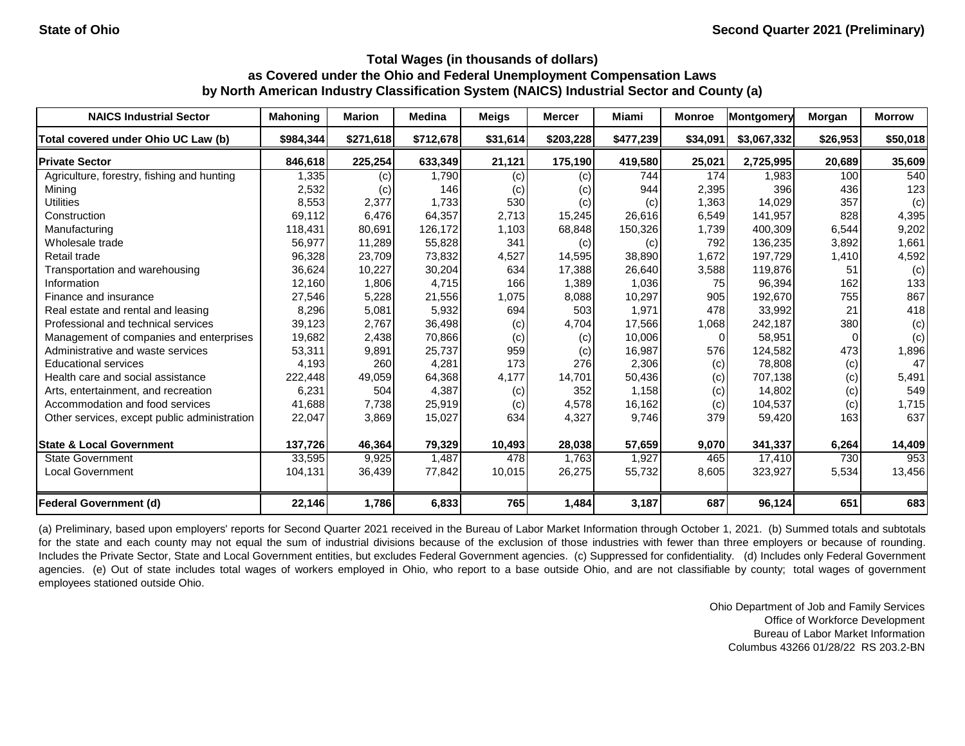| <b>NAICS Industrial Sector</b>               | <b>Mahoning</b> | <b>Marion</b> | <b>Medina</b> | <b>Meigs</b> | <b>Mercer</b> | Miami     | <b>Monroe</b> | Montgomery  | Morgan   | <b>Morrow</b> |
|----------------------------------------------|-----------------|---------------|---------------|--------------|---------------|-----------|---------------|-------------|----------|---------------|
| Total covered under Ohio UC Law (b)          | \$984,344       | \$271,618     | \$712,678     | \$31,614     | \$203,228     | \$477,239 | \$34,091      | \$3,067,332 | \$26,953 | \$50,018      |
| <b>Private Sector</b>                        | 846,618         | 225,254       | 633,349       | 21,121       | 175,190       | 419,580   | 25,021        | 2,725,995   | 20,689   | 35,609        |
| Agriculture, forestry, fishing and hunting   | 1,335           | (c)           | 1,790         | (c)          | (c)           | 744       | 174           | 1,983       | 100      | 540           |
| Mining                                       | 2,532           | (c)           | 146           | (c)          | (c)           | 944       | 2,395         | 396         | 436      | 123           |
| <b>Utilities</b>                             | 8,553           | 2,377         | 1,733         | 530          | (c)           | (c)       | 1,363         | 14,029      | 357      | (c)           |
| Construction                                 | 69,112          | 6,476         | 64,357        | 2.713        | 15,245        | 26,616    | 6,549         | 141.957     | 828      | 4,395         |
| Manufacturing                                | 118,431         | 80,691        | 126,172       | 1,103        | 68,848        | 150,326   | 1,739         | 400,309     | 6,544    | 9,202         |
| Wholesale trade                              | 56,977          | 11,289        | 55,828        | 341          | (c)           | (c)       | 792           | 136,235     | 3,892    | 1,661         |
| Retail trade                                 | 96,328          | 23,709        | 73,832        | 4,527        | 14,595        | 38,890    | 1,672         | 197,729     | 1,410    | 4,592         |
| Transportation and warehousing               | 36,624          | 10,227        | 30,204        | 634          | 17,388        | 26,640    | 3,588         | 119,876     | 51       | (c)           |
| Information                                  | 12,160          | 1,806         | 4,715         | 166          | 1,389         | 1,036     | 75            | 96,394      | 162      | 133           |
| Finance and insurance                        | 27,546          | 5,228         | 21,556        | 1,075        | 8,088         | 10,297    | 905           | 192,670     | 755      | 867           |
| Real estate and rental and leasing           | 8,296           | 5,081         | 5,932         | 694          | 503           | 1,971     | 478           | 33,992      | 21       | 418           |
| Professional and technical services          | 39,123          | 2,767         | 36,498        | (c)          | 4,704         | 17,566    | 1,068         | 242,187     | 380      | (c)           |
| Management of companies and enterprises      | 19,682          | 2,438         | 70,866        | (c)          | (c)           | 10,006    | $\Omega$      | 58,951      |          | (c)           |
| Administrative and waste services            | 53,311          | 9,891         | 25,737        | 959          | (c)           | 16,987    | 576           | 124,582     | 473      | 1,896         |
| <b>Educational services</b>                  | 4,193           | 260           | 4,281         | 173          | 276           | 2,306     | (c)           | 78,808      | (c)      | 47            |
| Health care and social assistance            | 222,448         | 49,059        | 64,368        | 4,177        | 14,701        | 50,436    | (c)           | 707,138     | (c)      | 5,491         |
| Arts, entertainment, and recreation          | 6,231           | 504           | 4,387         | (c)          | 352           | 1,158     | (c)           | 14,802      | (c)      | 549           |
| Accommodation and food services              | 41,688          | 7,738         | 25,919        | (c)          | 4,578         | 16,162    | (c)           | 104,537     | (c)      | 1,715         |
| Other services, except public administration | 22,047          | 3,869         | 15,027        | 634          | 4,327         | 9,746     | 379           | 59,420      | 163      | 637           |
| <b>State &amp; Local Government</b>          | 137,726         | 46,364        | 79,329        | 10,493       | 28,038        | 57,659    | 9,070         | 341,337     | 6,264    | 14,409        |
| <b>State Government</b>                      | 33,595          | 9,925         | 1,487         | 478          | 1,763         | 1,927     | 465           | 17,410      | 730      | 953           |
| <b>Local Government</b>                      | 104,131         | 36,439        | 77,842        | 10,015       | 26,275        | 55,732    | 8,605         | 323,927     | 5,534    | 13,456        |
| <b>Federal Government (d)</b>                | 22,146          | 1,786         | 6,833         | 765          | 1,484         | 3,187     | 687           | 96,124      | 651      | 683           |

(a) Preliminary, based upon employers' reports for Second Quarter 2021 received in the Bureau of Labor Market Information through October 1, 2021. (b) Summed totals and subtotals for the state and each county may not equal the sum of industrial divisions because of the exclusion of those industries with fewer than three employers or because of rounding. Includes the Private Sector, State and Local Government entities, but excludes Federal Government agencies. (c) Suppressed for confidentiality. (d) Includes only Federal Government agencies. (e) Out of state includes total wages of workers employed in Ohio, who report to a base outside Ohio, and are not classifiable by county; total wages of government employees stationed outside Ohio.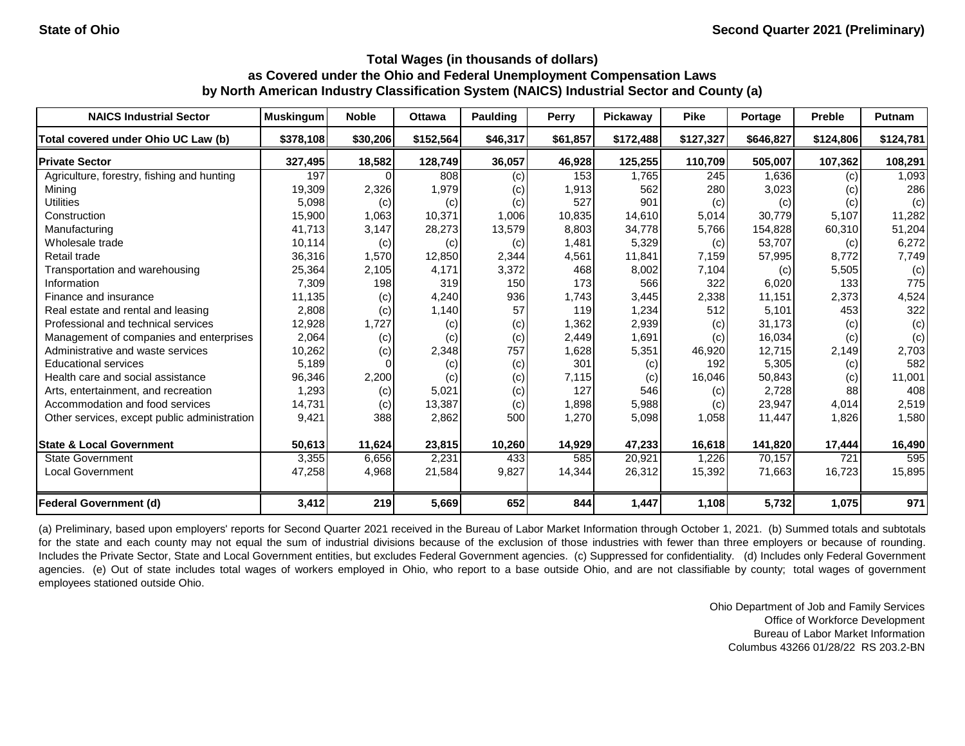| <b>NAICS Industrial Sector</b>               | <b>Muskingum</b> | <b>Noble</b> | <b>Ottawa</b> | Paulding | Perry    | Pickaway  | <b>Pike</b> | Portage   | <b>Preble</b> | <b>Putnam</b> |
|----------------------------------------------|------------------|--------------|---------------|----------|----------|-----------|-------------|-----------|---------------|---------------|
| Total covered under Ohio UC Law (b)          | \$378,108        | \$30,206     | \$152,564     | \$46,317 | \$61,857 | \$172,488 | \$127,327   | \$646,827 | \$124,806     | \$124,781     |
| <b>Private Sector</b>                        | 327,495          | 18,582       | 128,749       | 36,057   | 46,928   | 125,255   | 110,709     | 505,007   | 107,362       | 108,291       |
| Agriculture, forestry, fishing and hunting   | 197              | $\Omega$     | 808           | (c)      | 153      | 1,765     | 245         | 1,636     | (c)           | 1,093         |
| Mining                                       | 19,309           | 2,326        | 1,979         | (c)      | 1,913    | 562       | 280         | 3,023     | (c)           | 286           |
| <b>Utilities</b>                             | 5,098            | (c)          | (c)           | (c)      | 527      | 901       | (c)         | (c)       | (c)           | (c)           |
| Construction                                 | 15,900           | 1,063        | 10,371        | 1,006    | 10,835   | 14,610    | 5,014       | 30,779    | 5,107         | 11,282        |
| Manufacturing                                | 41,713           | 3,147        | 28,273        | 13,579   | 8,803    | 34,778    | 5,766       | 154.828   | 60,310        | 51,204        |
| Wholesale trade                              | 10,114           | (c)          | (c)           | (c)      | 1,481    | 5,329     | (c)         | 53,707    | (c)           | 6,272         |
| Retail trade                                 | 36,316           | 1,570        | 12,850        | 2,344    | 4,561    | 11,841    | 7,159       | 57,995    | 8,772         | 7,749         |
| Transportation and warehousing               | 25,364           | 2,105        | 4.171         | 3,372    | 468      | 8,002     | 7,104       | (c)       | 5,505         | (c)           |
| Information                                  | 7,309            | 198          | 319           | 150      | 173      | 566       | 322         | 6,020     | 133           | 775           |
| Finance and insurance                        | 11,135           | (c)          | 4,240         | 936      | 1.743    | 3,445     | 2,338       | 11,151    | 2,373         | 4,524         |
| Real estate and rental and leasing           | 2,808            | (c)          | 1,140         | 57       | 119      | 1,234     | 512         | 5.101     | 453           | 322           |
| Professional and technical services          | 12,928           | 1,727        | (c)           | (c)      | 1,362    | 2,939     | (c)         | 31,173    | (c)           | (c)           |
| Management of companies and enterprises      | 2,064            | (c)          | (c)           | (c)      | 2,449    | 1,691     | (c)         | 16,034    | (c)           | (c)           |
| Administrative and waste services            | 10,262           | (c)          | 2,348         | 757      | 1,628    | 5,351     | 46,920      | 12,715    | 2,149         | 2,703         |
| <b>Educational services</b>                  | 5,189            |              | (c)           | (c)      | 301      | (c)       | 192         | 5,305     | (c)           | 582           |
| Health care and social assistance            | 96,346           | 2,200        | (c)           | (c)      | 7,115    | (c)       | 16,046      | 50,843    | (c)           | 11,001        |
| Arts, entertainment, and recreation          | 1,293            | (c)          | 5,021         | (c)      | 127      | 546       | (c)         | 2,728     | 88            | 408           |
| Accommodation and food services              | 14,731           | (c)          | 13,387        | (c)      | 1,898    | 5,988     | (c)         | 23,947    | 4,014         | 2,519         |
| Other services, except public administration | 9,421            | 388          | 2,862         | 500      | 1,270    | 5,098     | 1,058       | 11,447    | 1,826         | 1,580         |
| <b>State &amp; Local Government</b>          | 50,613           | 11,624       | 23,815        | 10,260   | 14,929   | 47,233    | 16,618      | 141,820   | 17,444        | 16,490        |
| State Government                             | 3,355            | 6,656        | 2,231         | 433      | 585      | 20,921    | 1,226       | 70,157    | 721           | 595           |
| <b>Local Government</b>                      | 47,258           | 4,968        | 21,584        | 9,827    | 14,344   | 26,312    | 15,392      | 71,663    | 16,723        | 15,895        |
| <b>Federal Government (d)</b>                | 3,412            | 219          | 5,669         | 652      | 844      | 1,447     | 1,108       | 5,732     | 1,075         | 971           |

(a) Preliminary, based upon employers' reports for Second Quarter 2021 received in the Bureau of Labor Market Information through October 1, 2021. (b) Summed totals and subtotals for the state and each county may not equal the sum of industrial divisions because of the exclusion of those industries with fewer than three employers or because of rounding. Includes the Private Sector, State and Local Government entities, but excludes Federal Government agencies. (c) Suppressed for confidentiality. (d) Includes only Federal Government agencies. (e) Out of state includes total wages of workers employed in Ohio, who report to a base outside Ohio, and are not classifiable by county; total wages of government employees stationed outside Ohio.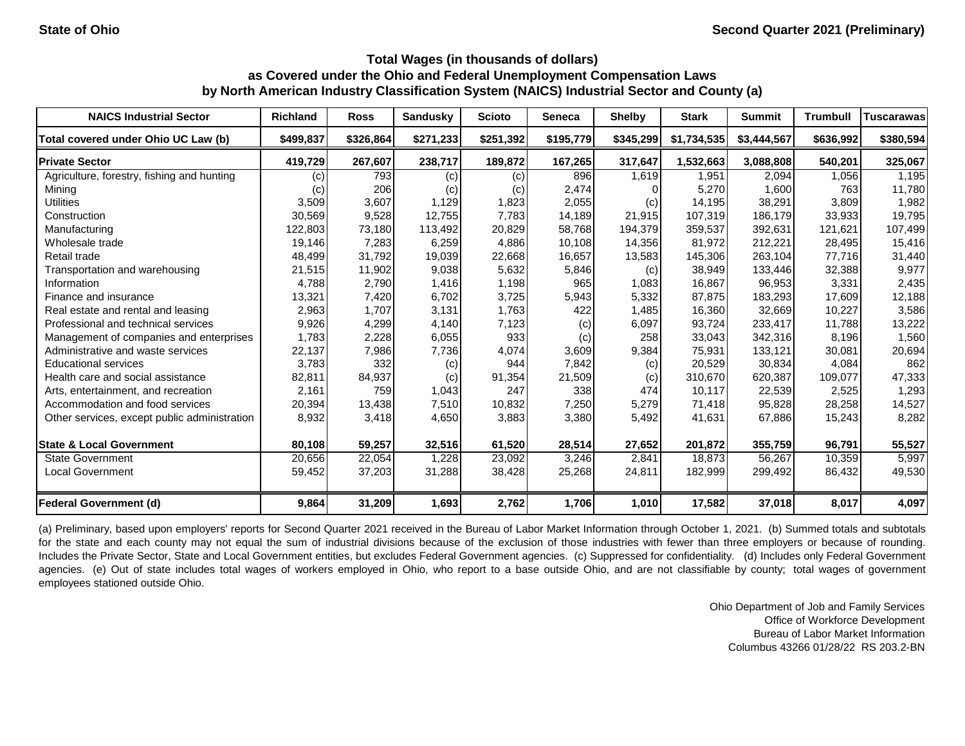| <b>NAICS Industrial Sector</b>               | <b>Richland</b> | <b>Ross</b> | <b>Sandusky</b>   | <b>Scioto</b> | <b>Seneca</b> | <b>Shelby</b> | <b>Stark</b> | <b>Summit</b> | <b>Trumbull</b> | <b>Tuscarawas</b> |
|----------------------------------------------|-----------------|-------------|-------------------|---------------|---------------|---------------|--------------|---------------|-----------------|-------------------|
| Total covered under Ohio UC Law (b)          | \$499,837       | \$326,864   | \$271,233         | \$251,392     | \$195,779     | \$345,299     | \$1,734,535  | \$3,444,567   | \$636,992       | \$380,594         |
| <b>Private Sector</b>                        | 419,729         | 267,607     | 238,717           | 189,872       | 167,265       | 317,647       | 1,532,663    | 3,088,808     | 540,201         | 325,067           |
| Agriculture, forestry, fishing and hunting   | (c)             | 793         | $\left( c\right)$ | (c)           | 896           | 1,619         | 1,951        | 2,094         | 1,056           | 1,195             |
| Mining                                       | (c)             | 206         | (c)               | (c)           | 2,474         |               | 5,270        | 1,600         | 763             | 11,780            |
| <b>Utilities</b>                             | 3,509           | 3,607       | 1,129             | 1,823         | 2,055         | (c)           | 14,195       | 38,291        | 3,809           | 1,982             |
| Construction                                 | 30,569          | 9,528       | 12.755            | 7.783         | 14,189        | 21,915        | 107,319      | 186,179       | 33.933          | 19,795            |
| Manufacturing                                | 122,803         | 73,180      | 113,492           | 20,829        | 58.768        | 194,379       | 359,537      | 392.631       | 121.621         | 107,499           |
| Wholesale trade                              | 19,146          | 7,283       | 6,259             | 4,886         | 10,108        | 14,356        | 81,972       | 212,221       | 28,495          | 15,416            |
| Retail trade                                 | 48,499          | 31,792      | 19,039            | 22,668        | 16,657        | 13,583        | 145,306      | 263,104       | 77,716          | 31,440            |
| Transportation and warehousing               | 21,515          | 11,902      | 9,038             | 5,632         | 5,846         | (c)           | 38,949       | 133,446       | 32,388          | 9,977             |
| Information                                  | 4,788           | 2,790       | 1,416             | 1,198         | 965           | 1,083         | 16,867       | 96,953        | 3,331           | 2,435             |
| Finance and insurance                        | 13,321          | 7,420       | 6,702             | 3,725         | 5,943         | 5,332         | 87,875       | 183,293       | 17,609          | 12,188            |
| Real estate and rental and leasing           | 2,963           | 1,707       | 3,131             | 1,763         | 422           | 1,485         | 16,360       | 32,669        | 10,227          | 3,586             |
| Professional and technical services          | 9,926           | 4,299       | 4,140             | 7,123         | (c)           | 6,097         | 93,724       | 233,417       | 11.788          | 13,222            |
| Management of companies and enterprises      | 1,783           | 2,228       | 6,055             | 933           | (c)           | 258           | 33,043       | 342,316       | 8,196           | 1,560             |
| Administrative and waste services            | 22,137          | 7,986       | 7,736             | 4,074         | 3,609         | 9,384         | 75,931       | 133,121       | 30,081          | 20,694            |
| <b>Educational services</b>                  | 3,783           | 332         | (c)               | 944           | 7,842         | (c)           | 20,529       | 30,834        | 4,084           | 862               |
| Health care and social assistance            | 82,811          | 84,937      | (c)               | 91,354        | 21,509        | (c)           | 310,670      | 620,387       | 109,077         | 47,333            |
| Arts, entertainment, and recreation          | 2,161           | 759         | 1,043             | 247           | 338           | 474           | 10,117       | 22,539        | 2,525           | 1,293             |
| Accommodation and food services              | 20,394          | 13,438      | 7,510             | 10,832        | 7,250         | 5,279         | 71,418       | 95,828        | 28,258          | 14,527            |
| Other services, except public administration | 8,932           | 3,418       | 4,650             | 3,883         | 3,380         | 5,492         | 41,631       | 67,886        | 15,243          | 8,282             |
| <b>State &amp; Local Government</b>          | 80,108          | 59,257      | 32,516            | 61,520        | 28,514        | 27,652        | 201,872      | 355,759       | 96,791          | 55,527            |
| <b>State Government</b>                      | 20,656          | 22,054      | 1,228             | 23,092        | 3,246         | 2,841         | 18,873       | 56,267        | 10,359          | 5,997             |
| <b>Local Government</b>                      | 59,452          | 37,203      | 31,288            | 38,428        | 25,268        | 24,811        | 182,999      | 299,492       | 86,432          | 49,530            |
| <b>Federal Government (d)</b>                | 9,864           | 31,209      | 1,693             | 2,762         | 1,706         | 1,010         | 17,582       | 37,018        | 8,017           | 4,097             |

(a) Preliminary, based upon employers' reports for Second Quarter 2021 received in the Bureau of Labor Market Information through October 1, 2021. (b) Summed totals and subtotals for the state and each county may not equal the sum of industrial divisions because of the exclusion of those industries with fewer than three employers or because of rounding. Includes the Private Sector, State and Local Government entities, but excludes Federal Government agencies. (c) Suppressed for confidentiality. (d) Includes only Federal Government agencies. (e) Out of state includes total wages of workers employed in Ohio, who report to a base outside Ohio, and are not classifiable by county; total wages of government employees stationed outside Ohio.